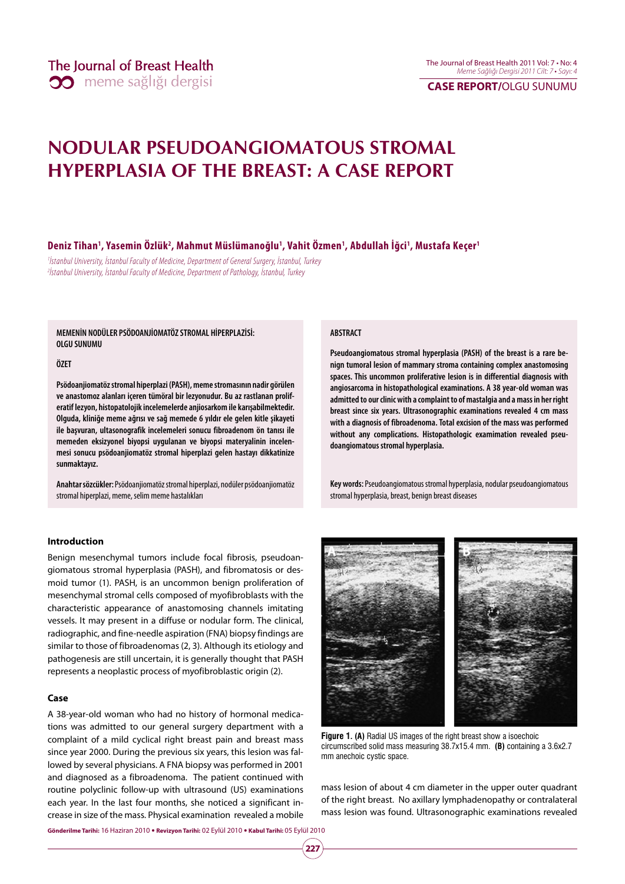# **CASE REPORT/**OLGU SUNUMU

# **NODULAR PSEUDOANGIOMATOUS STROMAL HYPERPLASIA OF THE BREAST: A CASE REPORT**

### **Deniz Tihan1 , Yasemin Özlük2 , Mahmut Müslümanoğlu1 , Vahit Özmen1 , Abdullah İğci1 , Mustafa Keçer1**

1 İstanbul University, İstanbul Faculty of Medicine, Department of General Surgery, İstanbul, Turkey 2 İstanbul University, İstanbul Faculty of Medicine, Department of Pathology, İstanbul, Turkey

**MEMENİN NODÜLER PSÖDOANJİOMATÖZ STROMAL HİPERPLAZİSİ: OLGU SUNUMU**

#### **ÖZET**

**Psödoanjiomatöz stromal hiperplazi (PASH), meme stromasının nadir görülen ve anastomoz alanları içeren tümöral bir lezyonudur. Bu az rastlanan proliferatif lezyon, histopatolojik incelemelerde anjiosarkom ile karışabilmektedir. Olguda, kliniğe meme ağrısı ve sağ memede 6 yıldır ele gelen kitle şikayeti ile başvuran, ultasonografik incelemeleri sonucu fibroadenom ön tanısı ile memeden eksizyonel biyopsi uygulanan ve biyopsi materyalinin incelenmesi sonucu psödoanjiomatöz stromal hiperplazi gelen hastayı dikkatinize sunmaktayız.** 

**Anahtar sözcükler:** Psödoanjiomatöz stromal hiperplazi, nodüler psödoanjiomatöz stromal hiperplazi, meme, selim meme hastalıkları

#### **Introduction**

Benign mesenchymal tumors include focal fibrosis, pseudoangiomatous stromal hyperplasia (PASH), and fibromatosis or desmoid tumor (1). PASH, is an uncommon benign proliferation of mesenchymal stromal cells composed of myofibroblasts with the characteristic appearance of anastomosing channels imitating vessels. It may present in a diffuse or nodular form. The clinical, radiographic, and fine-needle aspiration (FNA) biopsy findings are similar to those of fibroadenomas (2, 3). Although its etiology and pathogenesis are still uncertain, it is generally thought that PASH represents a neoplastic process of myofibroblastic origin (2).

#### **Case**

A 38-year-old woman who had no history of hormonal medications was admitted to our general surgery department with a complaint of a mild cyclical right breast pain and breast mass since year 2000. During the previous six years, this lesion was fallowed by several physicians. A FNA biopsy was performed in 2001 and diagnosed as a fibroadenoma. The patient continued with routine polyclinic follow-up with ultrasound (US) examinations each year. In the last four months, she noticed a significant increase in size of the mass. Physical examination revealed a mobile

**Gönderilme Tarihi:** 16 Haziran 2010 y **Revizyon Tarihi:** 02 Eylül 2010 y **Kabul Tarihi:** 05 Eylül 2010

**227**



**Pseudoangiomatous stromal hyperplasia (PASH) of the breast is a rare benign tumoral lesion of mammary stroma containing complex anastomosing spaces. This uncommon proliferative lesion is in differential diagnosis with angiosarcoma in histopathological examinations. A 38 year-old woman was admitted to our clinic with a complaint to of mastalgia and a mass in her right breast since six years. Ultrasonographic examinations revealed 4 cm mass with a diagnosis of fibroadenoma. Total excision of the mass was performed without any complications. Histopathologic examimation revealed pseudoangiomatous stromal hyperplasia.** 

**Key words:** Pseudoangiomatous stromal hyperplasia, nodular pseudoangiomatous stromal hyperplasia, breast, benign breast diseases



**Figure 1. (A)** Radial US images of the right breast show a isoechoic circumscribed solid mass measuring 38.7x15.4 mm. **(B)** containing a 3.6x2.7 mm anechoic cystic space.

mass lesion of about 4 cm diameter in the upper outer quadrant of the right breast. No axillary lymphadenopathy or contralateral mass lesion was found. Ultrasonographic examinations revealed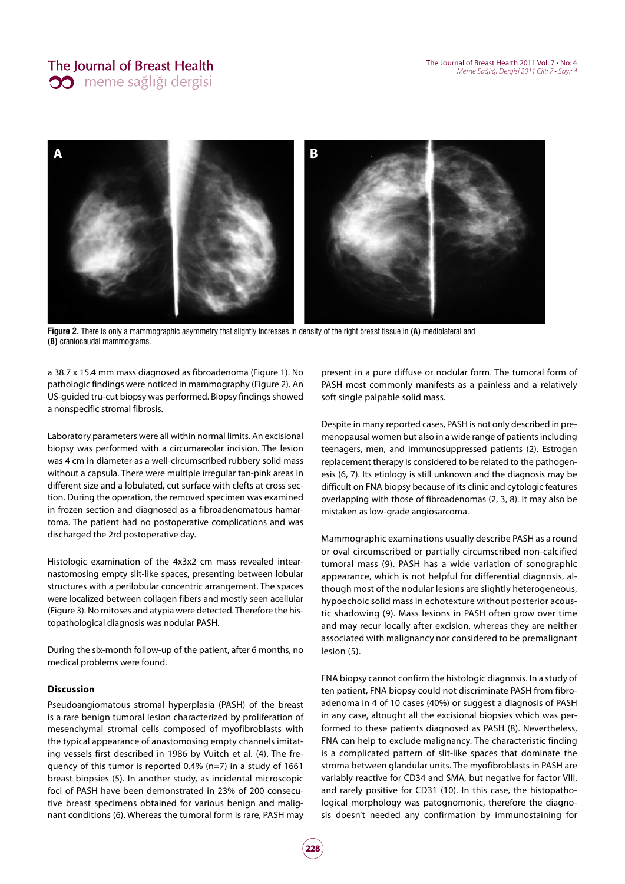

Figure 2. There is only a mammographic asymmetry that slightly increases in density of the right breast tissue in (A) mediolateral and **(B)** craniocaudal mammograms.

a 38.7 x 15.4 mm mass diagnosed as fibroadenoma (Figure 1). No pathologic findings were noticed in mammography (Figure 2). An US-guided tru-cut biopsy was performed. Biopsy findings showed a nonspecific stromal fibrosis.

Laboratory parameters were all within normal limits. An excisional biopsy was performed with a circumareolar incision. The lesion was 4 cm in diameter as a well-circumscribed rubbery solid mass without a capsula. There were multiple irregular tan-pink areas in different size and a lobulated, cut surface with clefts at cross section. During the operation, the removed specimen was examined in frozen section and diagnosed as a fibroadenomatous hamartoma. The patient had no postoperative complications and was discharged the 2rd postoperative day.

Histologic examination of the 4x3x2 cm mass revealed intearnastomosing empty slit-like spaces, presenting between lobular structures with a perilobular concentric arrangement. The spaces were localized between collagen fibers and mostly seen acellular (Figure 3). No mitoses and atypia were detected. Therefore the histopathological diagnosis was nodular PASH.

During the six-month follow-up of the patient, after 6 months, no medical problems were found.

# **Discussion**

Pseudoangiomatous stromal hyperplasia (PASH) of the breast is a rare benign tumoral lesion characterized by proliferation of mesenchymal stromal cells composed of myofibroblasts with the typical appearance of anastomosing empty channels imitating vessels first described in 1986 by Vuitch et al. (4). The frequency of this tumor is reported 0.4% (n=7) in a study of 1661 breast biopsies (5). In another study, as incidental microscopic foci of PASH have been demonstrated in 23% of 200 consecutive breast specimens obtained for various benign and malignant conditions (6). Whereas the tumoral form is rare, PASH may present in a pure diffuse or nodular form. The tumoral form of PASH most commonly manifests as a painless and a relatively soft single palpable solid mass.

Despite in many reported cases, PASH is not only described in premenopausal women but also in a wide range of patients including teenagers, men, and immunosuppressed patients (2). Estrogen replacement therapy is considered to be related to the pathogenesis (6, 7). Its etiology is still unknown and the diagnosis may be difficult on FNA biopsy because of its clinic and cytologic features overlapping with those of fibroadenomas (2, 3, 8). It may also be mistaken as low-grade angiosarcoma.

Mammographic examinations usually describe PASH as a round or oval circumscribed or partially circumscribed non-calcified tumoral mass (9). PASH has a wide variation of sonographic appearance, which is not helpful for differential diagnosis, although most of the nodular lesions are slightly heterogeneous, hypoechoic solid mass in echotexture without posterior acoustic shadowing (9). Mass lesions in PASH often grow over time and may recur locally after excision, whereas they are neither associated with malignancy nor considered to be premalignant lesion (5).

FNA biopsy cannot confirm the histologic diagnosis. In a study of ten patient, FNA biopsy could not discriminate PASH from fibroadenoma in 4 of 10 cases (40%) or suggest a diagnosis of PASH in any case, altought all the excisional biopsies which was performed to these patients diagnosed as PASH (8). Nevertheless, FNA can help to exclude malignancy. The characteristic finding is a complicated pattern of slit-like spaces that dominate the stroma between glandular units. The myofibroblasts in PASH are variably reactive for CD34 and SMA, but negative for factor VIII, and rarely positive for CD31 (10). In this case, the histopathological morphology was patognomonic, therefore the diagnosis doesn't needed any confirmation by immunostaining for